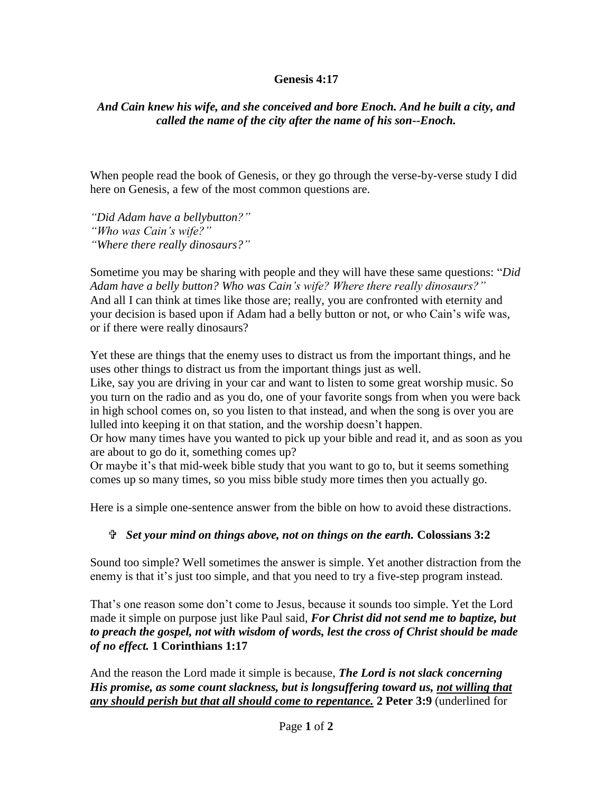## **Genesis 4:17**

## *And Cain knew his wife, and she conceived and bore Enoch. And he built a city, and called the name of the city after the name of his son--Enoch.*

When people read the book of Genesis, or they go through the verse-by-verse study I did here on Genesis, a few of the most common questions are.

*"Did Adam have a bellybutton?" "Who was Cain's wife?" "Where there really dinosaurs?"*

Sometime you may be sharing with people and they will have these same questions: "*Did Adam have a belly button? Who was Cain's wife? Where there really dinosaurs?"* And all I can think at times like those are; really, you are confronted with eternity and your decision is based upon if Adam had a belly button or not, or who Cain's wife was, or if there were really dinosaurs?

Yet these are things that the enemy uses to distract us from the important things, and he uses other things to distract us from the important things just as well.

Like, say you are driving in your car and want to listen to some great worship music. So you turn on the radio and as you do, one of your favorite songs from when you were back in high school comes on, so you listen to that instead, and when the song is over you are lulled into keeping it on that station, and the worship doesn't happen.

Or how many times have you wanted to pick up your bible and read it, and as soon as you are about to go do it, something comes up?

Or maybe it's that mid-week bible study that you want to go to, but it seems something comes up so many times, so you miss bible study more times then you actually go.

Here is a simple one-sentence answer from the bible on how to avoid these distractions.

## *Set your mind on things above, not on things on the earth.* **Colossians 3:2**

Sound too simple? Well sometimes the answer is simple. Yet another distraction from the enemy is that it's just too simple, and that you need to try a five-step program instead.

That's one reason some don't come to Jesus, because it sounds too simple. Yet the Lord made it simple on purpose just like Paul said, *For Christ did not send me to baptize, but to preach the gospel, not with wisdom of words, lest the cross of Christ should be made of no effect.* **1 Corinthians 1:17**

And the reason the Lord made it simple is because, *The Lord is not slack concerning His promise, as some count slackness, but is longsuffering toward us, not willing that any should perish but that all should come to repentance.* **2 Peter 3:9** (underlined for